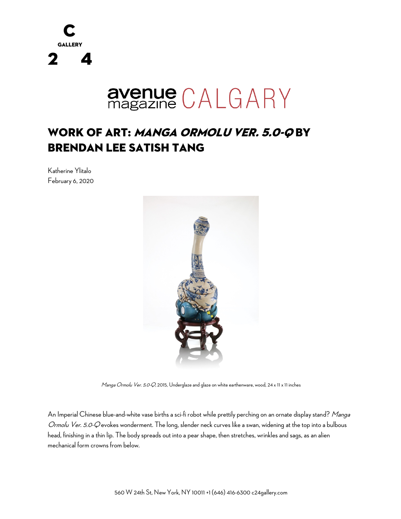



## WORK OF ART: MANGA ORMOLU VER. 5.0-Q BY Brendan Lee Satish Tang

Katherine Ylitalo February 6, 2020



Manga Ormolu Ver. 5.0-Q, 2015, Underglaze and glaze on white earthenware, wood, 24 x 11 x 11 inches

An Imperial Chinese blue-and-white vase births a sci-fi robot while prettily perching on an ornate display stand? Manga Ormolu Ver. 5.0-Q evokes wonderment. The long, slender neck curves like a swan, widening at the top into a bulbous head, finishing in a thin lip. The body spreads out into a pear shape, then stretches, wrinkles and sags, as an alien mechanical form crowns from below.